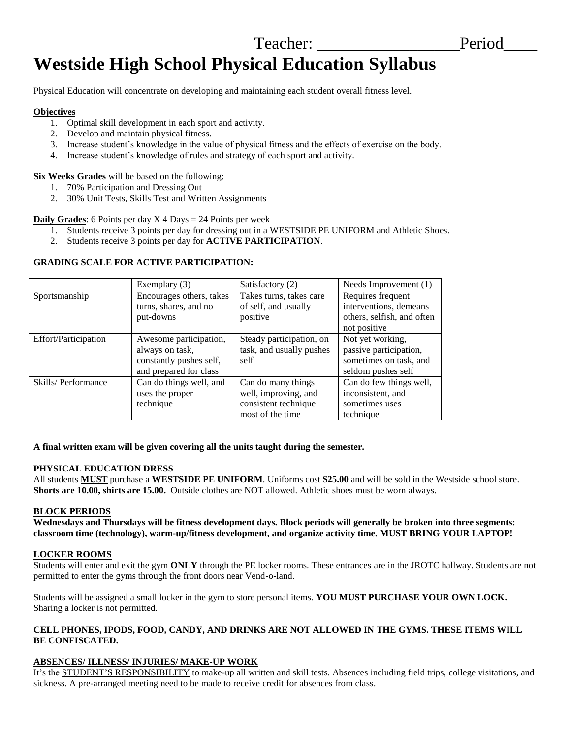# Teacher: **Example 1** Period **Westside High School Physical Education Syllabus**

Physical Education will concentrate on developing and maintaining each student overall fitness level.

## **Objectives**

- 1. Optimal skill development in each sport and activity.
- 2. Develop and maintain physical fitness.
- 3. Increase student's knowledge in the value of physical fitness and the effects of exercise on the body.
- 4. Increase student's knowledge of rules and strategy of each sport and activity.

**Six Weeks Grades** will be based on the following:

- 1. 70% Participation and Dressing Out
- 2. 30% Unit Tests, Skills Test and Written Assignments

**Daily Grades**: 6 Points per day X 4 Days = 24 Points per week

- 1. Students receive 3 points per day for dressing out in a WESTSIDE PE UNIFORM and Athletic Shoes.
- 2. Students receive 3 points per day for **ACTIVE PARTICIPATION**.

## **GRADING SCALE FOR ACTIVE PARTICIPATION:**

|                             | Exemplary (3)            | Satisfactory (2)         | Needs Improvement (1)      |
|-----------------------------|--------------------------|--------------------------|----------------------------|
| Sportsmanship               | Encourages others, takes | Takes turns, takes care  | Requires frequent          |
|                             | turns, shares, and no    | of self, and usually     | interventions, demeans     |
|                             | put-downs                | positive                 | others, selfish, and often |
|                             |                          |                          | not positive               |
| <b>Effort/Participation</b> | Awesome participation,   | Steady participation, on | Not yet working,           |
|                             | always on task,          | task, and usually pushes | passive participation,     |
|                             | constantly pushes self,  | self                     | sometimes on task, and     |
|                             | and prepared for class   |                          | seldom pushes self         |
| Skills/Performance          | Can do things well, and  | Can do many things       | Can do few things well,    |
|                             | uses the proper          | well, improving, and     | inconsistent, and          |
|                             | technique                | consistent technique     | sometimes uses             |
|                             |                          | most of the time         | technique                  |

#### **A final written exam will be given covering all the units taught during the semester.**

#### **PHYSICAL EDUCATION DRESS**

All students **MUST** purchase a **WESTSIDE PE UNIFORM**. Uniforms cost **\$25.00** and will be sold in the Westside school store. **Shorts are 10.00, shirts are 15.00.** Outside clothes are NOT allowed. Athletic shoes must be worn always.

## **BLOCK PERIODS**

**Wednesdays and Thursdays will be fitness development days. Block periods will generally be broken into three segments: classroom time (technology), warm-up/fitness development, and organize activity time. MUST BRING YOUR LAPTOP!**

## **LOCKER ROOMS**

Students will enter and exit the gym **ONLY** through the PE locker rooms. These entrances are in the JROTC hallway. Students are not permitted to enter the gyms through the front doors near Vend-o-land.

Students will be assigned a small locker in the gym to store personal items. **YOU MUST PURCHASE YOUR OWN LOCK.**  Sharing a locker is not permitted.

## **CELL PHONES, IPODS, FOOD, CANDY, AND DRINKS ARE NOT ALLOWED IN THE GYMS. THESE ITEMS WILL BE CONFISCATED.**

## **ABSENCES/ ILLNESS/ INJURIES/ MAKE-UP WORK**

It's the STUDENT'S RESPONSIBILITY to make-up all written and skill tests. Absences including field trips, college visitations, and sickness. A pre-arranged meeting need to be made to receive credit for absences from class.